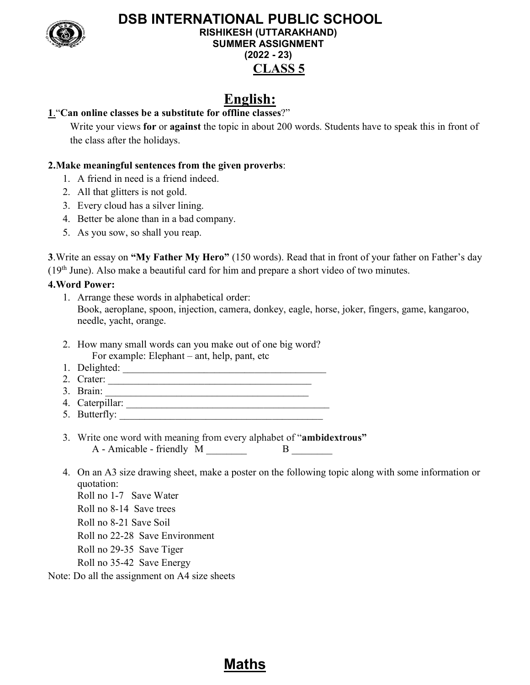

# DSB INTERNATIONAL PUBLIC SCHOOL RISHIKESH (UTTARAKHAND) SUMMER ASSIGNMENT (2022 - 23) CLASS 5

# English:

## 1."Can online classes be a substitute for offline classes?"

Write your views for or against the topic in about 200 words. Students have to speak this in front of the class after the holidays.

### 2.Make meaningful sentences from the given proverbs:

- 1. A friend in need is a friend indeed.
- 2. All that glitters is not gold.
- 3. Every cloud has a silver lining.
- 4. Better be alone than in a bad company.
- 5. As you sow, so shall you reap.

3.Write an essay on "My Father My Hero" (150 words). Read that in front of your father on Father's day  $(19<sup>th</sup> June)$ . Also make a beautiful card for him and prepare a short video of two minutes.

### 4.Word Power:

- 1. Arrange these words in alphabetical order: Book, aeroplane, spoon, injection, camera, donkey, eagle, horse, joker, fingers, game, kangaroo, needle, yacht, orange.
- 2. How many small words can you make out of one big word? For example: Elephant – ant, help, pant, etc
- 1. Delighted: \_\_\_\_\_\_\_\_\_\_\_\_\_\_\_\_\_\_\_\_\_\_\_\_\_\_\_\_\_\_\_\_\_\_\_\_\_\_\_\_
- 2. Crater: \_\_\_\_\_\_\_\_\_\_\_\_\_\_\_\_\_\_\_\_\_\_\_\_\_\_\_\_\_\_\_\_\_\_\_\_\_\_\_\_
- 3. Brain:  $\frac{1}{\sqrt{1-\frac{1}{2}}}\frac{1}{\sqrt{1-\frac{1}{2}}}\frac{1}{\sqrt{1-\frac{1}{2}}}\frac{1}{\sqrt{1-\frac{1}{2}}}\frac{1}{\sqrt{1-\frac{1}{2}}}\frac{1}{\sqrt{1-\frac{1}{2}}}\frac{1}{\sqrt{1-\frac{1}{2}}}\frac{1}{\sqrt{1-\frac{1}{2}}}\frac{1}{\sqrt{1-\frac{1}{2}}}\frac{1}{\sqrt{1-\frac{1}{2}}}\frac{1}{\sqrt{1-\frac{1}{2}}}\frac{1}{\sqrt{1-\frac{1}{2}}}\frac{1}{\sqrt{1-\frac{1}{2}}}\frac$ 4. Caterpillar: \_\_\_\_\_\_\_\_\_\_\_\_\_\_\_\_\_\_\_\_\_\_\_\_\_\_\_\_\_\_\_\_\_\_\_\_\_\_\_\_
- 5. Butterfly: \_\_\_\_\_\_\_\_\_\_\_\_\_\_\_\_\_\_\_\_\_\_\_\_\_\_\_\_\_\_\_\_\_\_\_\_\_\_\_\_
- 3. Write one word with meaning from every alphabet of "ambidextrous"  $A - A$ micable - friendly  $M \_$
- 4. On an A3 size drawing sheet, make a poster on the following topic along with some information or quotation: Roll no 1-7 Save Water
	- Roll no 8-14 Save trees
	- Roll no 8-21 Save Soil
	- Roll no 22-28 Save Environment
	- Roll no 29-35 Save Tiger
	- Roll no 35-42 Save Energy

Note: Do all the assignment on A4 size sheets

# Maths